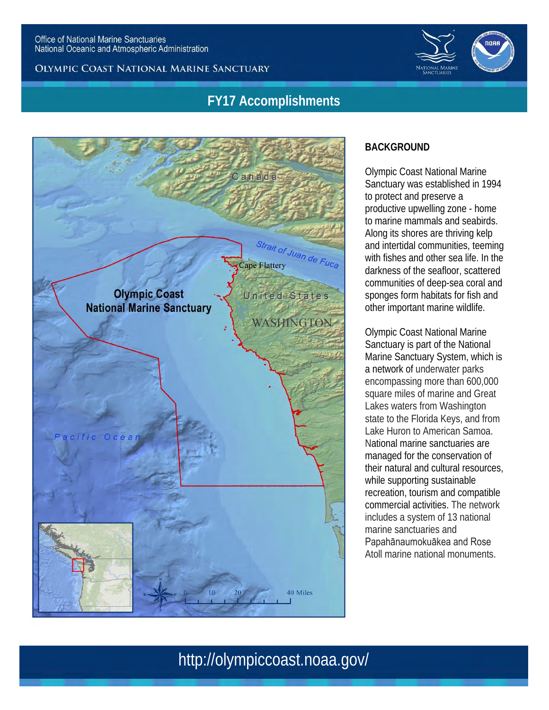OLYMPIC COAST NATIONAL MARINE SANCTUARY



## **FY17 Accomplishments**



### **BACKGROUND**

Olympic Coast National Marine Sanctuary was established in 1994 to protect and preserve a productive upwelling zone - home to marine mammals and seabirds. Along its shores are thriving kelp and intertidal communities, teeming with fishes and other sea life. In the darkness of the seafloor, scattered communities of deep-sea coral and sponges form habitats for fish and other important marine wildlife.

Olympic Coast National Marine Sanctuary is part of the National Marine Sanctuary System, which is a network of underwater parks encompassing more than 600,000 square miles of marine and Great Lakes waters from Washington state to the Florida Keys, and from Lake Huron to American Samoa. National marine sanctuaries are managed for the conservation of their natural and cultural resources, while supporting sustainable recreation, tourism and compatible commercial activities. The network includes a system of 13 national marine sanctuaries and Papahānaumokuākea and Rose Atoll marine national monuments.

# http://olympiccoast.noaa.gov/